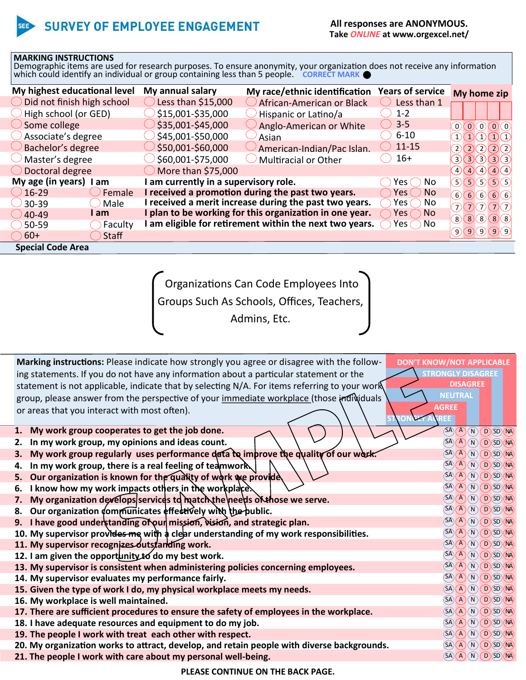## **SURVEY OF EMPLOYEE ENGAGEMENT**

## **MARKING INSTRUCTIONS**

Demographic items are used for research purposes. To ensure anonymity, your organization does not receive any information which could identify an individual or group containing less than 5 people. CORRECT MARK

| My highest educational level          | My annual salary                    | My race/ethnic identification                           | <b>Years of service</b> | My home zip          |
|---------------------------------------|-------------------------------------|---------------------------------------------------------|-------------------------|----------------------|
| $\bigcirc$ Did not finish high school | Less than $$15,000$                 | African-American or Black                               | Less than 1             |                      |
| $\rightarrow$ High school (or GED)    | \$15,001-\$35,000                   | Hispanic or Latino/a                                    | $1 - 2$                 |                      |
| $\bigcirc$ Some college               | $35,001 - $45,000$                  | Anglo-American or White                                 | $3-5$                   | $\Omega(\mathbf{0})$ |
| $\bigcirc$ Associate's degree         | \$45,001-\$50,000                   | Asian                                                   | $6 - 10$                | (1)(1)(1)(1)(1)      |
| $\cup$ Bachelor's degree              | \$50,001-\$60,000                   | American-Indian/Pac Islan.                              | $11 - 15$               | 2(2(2(2)             |
| $\cup$ Master's degree                | \$60,001-\$75,000                   | <b>Multiracial or Other</b>                             | $16+$                   | 3(3(3(3)3)           |
| $\bigcirc$ Doctoral degree            | $\bigcirc$ More than \$75,000       |                                                         |                         | 4040404              |
| My age (in years) I am                | am currently in a supervisory role. |                                                         | Yes ( ) No              | 5(5(5(5(5))          |
| $216 - 29$<br>Female                  |                                     | I received a promotion during the past two years.       | $Yes()$ No              | 666666               |
| Male<br>$230 - 39$                    |                                     | I received a merit increase during the past two years.  | Yes $\bigcap$<br>No.    | 70000                |
| am<br>$\bigcirc$ 40-49                |                                     | I plan to be working for this organization in one year. | $Yes$ $\wedge$ No       | (8)(8)(8)(8)         |
| Faculty<br>$50-59$                    |                                     | am eligible for retirement within the next two years.   | Yes $\bigcap$ No        |                      |
| $\bigcirc$ 60+<br>Staff               |                                     |                                                         |                         | (9)(9)(9)(9)         |
| <b>Special Code Area</b>              |                                     |                                                         |                         |                      |

Organizations Can Code Employees Into

Groups Such As Schools, Offices, Teachers,

Admins, Etc.

| Marking instructions: Please indicate how strongly you agree or disagree with the follow-                          | <b>DON'T KNOW/NOT APPLICABLE</b> |  |  |
|--------------------------------------------------------------------------------------------------------------------|----------------------------------|--|--|
| ing statements. If you do not have any information about a particular statement or the<br><b>STRONGLY DISAGREE</b> |                                  |  |  |
| statement is not applicable, indicate that by selecting N/A. For items referring to your work                      | <b>DISAGREE</b>                  |  |  |
| group, please answer from the perspective of your immediate workplace (those individuals                           | <b>NEUTRAL</b>                   |  |  |
| or areas that you interact with most often).                                                                       | <b>AGREE</b>                     |  |  |
|                                                                                                                    | <b>REE</b>                       |  |  |
| My work group cooperates to get the job done.<br>1.                                                                | (SA)(A)(N)(D)(ID)(NA)            |  |  |
| In my work group, my opinions and ideas count.<br>2.                                                               | (SA)(A)(N)(D)(SD)(NA)            |  |  |
| My work group regularly uses performance data to improve the quality of our work.<br>3.                            | (SA)(A)(N)(D)(SD)(NA)            |  |  |
| In my work group, there is a real feeling of teamwork<br>4.                                                        | (SA)(A)(N)(D)(SD)(NA)            |  |  |
| Our organization is known for the quality of work we provide<br>5.                                                 | (SA)(A)(N)(D)(ID)(NA)            |  |  |
| I know how my work impacts others in the workplace.<br>6.                                                          | (SA)(A)(N)(D)(SD)(NA)            |  |  |
| My organization develops services to match the needs of those we serve.<br>7.                                      | (SA)(A)(N)(D)(SD)(NA)            |  |  |
| Our organization communicates effectively with the public.<br>8.                                                   | (SA)(A)(N)(D)(ID)(NA)            |  |  |
| 9. I have good understanding of our mission, vision, and strategic plan.                                           | (SA)(A)(N)(D)(SD)(NA)            |  |  |
| 10. My supervisor provides me with a clear understanding of my work responsibilities.                              | (SA)(A)(N)(D)(SD)(NA)            |  |  |
| 11. My supervisor recognizes outstanding work.                                                                     | (SA)(A)(N)(D)(SD)(NA)            |  |  |
| 12. I am given the opportunity to do my best work.                                                                 | (SA)(A)(N)(D)(SD)(NA)            |  |  |
| 13. My supervisor is consistent when administering policies concerning employees.                                  | (SA)(A)(N)(D)(ID)(NA)            |  |  |
| 14. My supervisor evaluates my performance fairly.                                                                 | (SA)(A)(N)(D)(SD)(NA)            |  |  |
| 15. Given the type of work I do, my physical workplace meets my needs.                                             | (SA)(A)(N)(D)(SD)(NA)            |  |  |
| 16. My workplace is well maintained.                                                                               | SA(A)(N)(D)SD(M)                 |  |  |
| 17. There are sufficient procedures to ensure the safety of employees in the workplace.                            | (SA)(A)(N)(D)(SD)(NA)            |  |  |
| 18. I have adequate resources and equipment to do my job.                                                          | (SA)(A)(N)(D)(SD)(NA)            |  |  |
| 19. The people I work with treat each other with respect.                                                          | (SA)(A)(N)(D)(SD)(NA)            |  |  |
| 20. My organization works to attract, develop, and retain people with diverse backgrounds.                         | SA(A)(N)(D)SD(M)                 |  |  |
| 21. The people I work with care about my personal well-being.                                                      | $SA(A)$ (N) $OSD$ (N4)           |  |  |